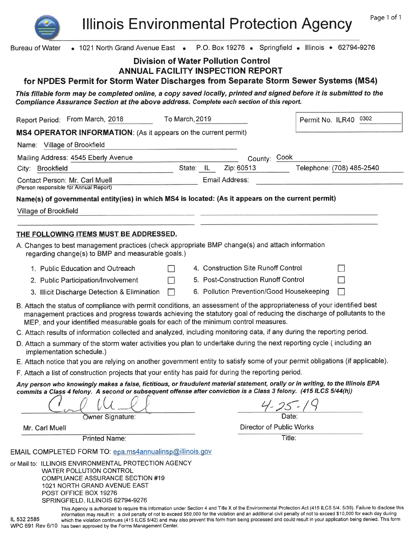**Illinois Environmental Protection Agency** 

| <b>Bureau of Water</b>                                                                                                                                                                                                                               | • 1021 North Grand Avenue East • P.O. Box 19276 • Springfield • Illinois • 62794-9276                                 |
|------------------------------------------------------------------------------------------------------------------------------------------------------------------------------------------------------------------------------------------------------|-----------------------------------------------------------------------------------------------------------------------|
| <b>Division of Water Pollution Control</b><br><b>ANNUAL FACILITY INSPECTION REPORT</b>                                                                                                                                                               |                                                                                                                       |
| for NPDES Permit for Storm Water Discharges from Separate Storm Sewer Systems (MS4)                                                                                                                                                                  |                                                                                                                       |
| This fillable form may be completed online, a copy saved locally, printed and signed before it is submitted to the<br>Compliance Assurance Section at the above address. Complete each section of this report.                                       |                                                                                                                       |
| Report Period: From March, 2018<br>To March, 2019                                                                                                                                                                                                    | 0302<br>Permit No. ILR40                                                                                              |
| MS4 OPERATOR INFORMATION: (As it appears on the current permit)                                                                                                                                                                                      |                                                                                                                       |
| Name: Village of Brookfield                                                                                                                                                                                                                          |                                                                                                                       |
| Mailing Address: 4545 Eberly Avenue<br>State: IL                                                                                                                                                                                                     | County: Cook                                                                                                          |
| City: Brookfield                                                                                                                                                                                                                                     | Zip: 60513<br>Telephone: (708) 485-2540                                                                               |
| Contact Person: Mr. Carl Muell<br>(Person responsible for Annual Report)                                                                                                                                                                             | Email Address:                                                                                                        |
| Name(s) of governmental entity(ies) in which MS4 is located: (As it appears on the current permit)                                                                                                                                                   |                                                                                                                       |
| Village of Brookfield                                                                                                                                                                                                                                |                                                                                                                       |
|                                                                                                                                                                                                                                                      |                                                                                                                       |
| THE FOLLOWING ITEMS MUST BE ADDRESSED.                                                                                                                                                                                                               |                                                                                                                       |
| A. Changes to best management practices (check appropriate BMP change(s) and attach information<br>regarding change(s) to BMP and measurable goals.)                                                                                                 |                                                                                                                       |
| 1. Public Education and Outreach                                                                                                                                                                                                                     | 4. Construction Site Runoff Control                                                                                   |
| П<br>2. Public Participation/Involvement                                                                                                                                                                                                             | 5. Post-Construction Runoff Control                                                                                   |
| 3. Illicit Discharge Detection & Elimination<br>$\Box$                                                                                                                                                                                               | 6. Pollution Prevention/Good Housekeeping                                                                             |
| B. Attach the status of compliance with permit conditions, an assessment of the appropriateness of your identified best<br>MEP, and your identified measurable goals for each of the minimum control measures.                                       | management practices and progress towards achieving the statutory goal of reducing the discharge of pollutants to the |
| C. Attach results of information collected and analyzed, including monitoring data, if any during the reporting period.                                                                                                                              |                                                                                                                       |
| D. Attach a summary of the storm water activities you plan to undertake during the next reporting cycle (including an<br>implementation schedule.)                                                                                                   |                                                                                                                       |
| E. Attach notice that you are relying on another government entity to satisfy some of your permit obligations (if applicable).                                                                                                                       |                                                                                                                       |
| F. Attach a list of construction projects that your entity has paid for during the reporting period.                                                                                                                                                 |                                                                                                                       |
| Any person who knowingly makes a false, fictitious, or fraudulent material statement, orally or in writing, to the Illinois EPA<br>commits a Class 4 felony. A second or subsequent offense after conviction is a Class 3 felony. (415 ILCS 5/44(h)) |                                                                                                                       |
|                                                                                                                                                                                                                                                      |                                                                                                                       |
| Owner Signature:                                                                                                                                                                                                                                     | Date:                                                                                                                 |
| Mr. Carl Muell                                                                                                                                                                                                                                       | Director of Public Works                                                                                              |
| Printed Name:                                                                                                                                                                                                                                        | Title:                                                                                                                |
| EMAIL COMPLETED FORM TO: epa.ms4annualinsp@illinois.gov                                                                                                                                                                                              |                                                                                                                       |
| or Mail to: ILLINOIS ENVIRONMENTAL PROTECTION AGENCY<br><b>WATER POLLUTION CONTROL</b><br><b>COMPLIANCE ASSURANCE SECTION #19</b><br>1021 NORTH GRAND AVENUE EAST<br>POST OFFICE BOX 19276<br>SPRINGFIELD, ILLINOIS 62794-9276                       |                                                                                                                       |

This Agency is authorized to require this information under Section 4 and Title X of the Environmental Protection Act (415 ILCS 5/4, 5/39). Failure to disclose this information may result in: a civil penalty of not to exceed \$50,000 for the violation and an additional civil penalty of not to exceed \$10,000 for each day during<br>which the violation continues (415 ILCS 5/42) and may also IL 532 2585 WPC 691 Rev 6/10 has been approved by the Forms Management Center.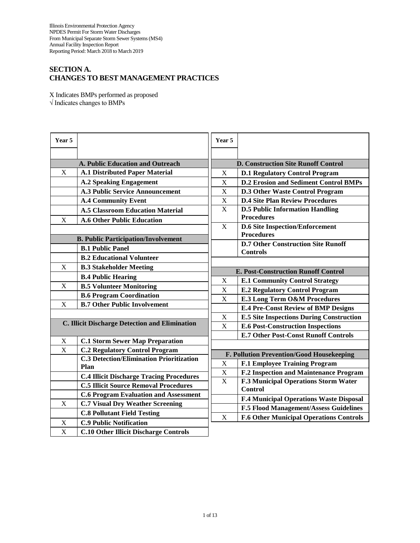# **SECTION A. CHANGES TO BEST MANAGEMENT PRACTICES**

X Indicates BMPs performed as proposed √ Indicates changes to BMPs

| Year 5                                         |                                                 | Year 5                                            |                                                             |  |  |  |
|------------------------------------------------|-------------------------------------------------|---------------------------------------------------|-------------------------------------------------------------|--|--|--|
|                                                |                                                 |                                                   |                                                             |  |  |  |
|                                                | A. Public Education and Outreach                |                                                   | <b>D. Construction Site Runoff Control</b>                  |  |  |  |
| X                                              | <b>A.1 Distributed Paper Material</b>           | X                                                 | <b>D.1 Regulatory Control Program</b>                       |  |  |  |
|                                                | <b>A.2 Speaking Engagement</b>                  | X<br><b>D.2 Erosion and Sediment Control BMPs</b> |                                                             |  |  |  |
|                                                | <b>A.3 Public Service Announcement</b>          | X<br><b>D.3 Other Waste Control Program</b>       |                                                             |  |  |  |
|                                                | <b>A.4 Community Event</b>                      | X<br><b>D.4 Site Plan Review Procedures</b>       |                                                             |  |  |  |
|                                                | <b>A.5 Classroom Education Material</b>         | X                                                 | <b>D.5 Public Information Handling</b><br><b>Procedures</b> |  |  |  |
| X                                              | <b>A.6 Other Public Education</b>               |                                                   |                                                             |  |  |  |
|                                                |                                                 | X                                                 | <b>D.6 Site Inspection/Enforcement</b><br><b>Procedures</b> |  |  |  |
| <b>B. Public Participation/Involvement</b>     |                                                 |                                                   | <b>D.7 Other Construction Site Runoff</b>                   |  |  |  |
|                                                | <b>B.1 Public Panel</b>                         |                                                   | <b>Controls</b>                                             |  |  |  |
|                                                | <b>B.2 Educational Volunteer</b>                |                                                   |                                                             |  |  |  |
| X                                              | <b>B.3 Stakeholder Meeting</b>                  |                                                   | <b>E. Post-Construction Runoff Control</b>                  |  |  |  |
|                                                | <b>B.4 Public Hearing</b>                       | X                                                 | <b>E.1 Community Control Strategy</b>                       |  |  |  |
| X                                              | <b>B.5 Volunteer Monitoring</b>                 | X                                                 | <b>E.2 Regulatory Control Program</b>                       |  |  |  |
|                                                | <b>B.6 Program Coordination</b>                 | X                                                 | <b>E.3 Long Term O&amp;M Procedures</b>                     |  |  |  |
| X                                              | <b>B.7 Other Public Involvement</b>             |                                                   | <b>E.4 Pre-Const Review of BMP Designs</b>                  |  |  |  |
|                                                |                                                 | X                                                 | <b>E.5 Site Inspections During Construction</b>             |  |  |  |
| C. Illicit Discharge Detection and Elimination |                                                 | X                                                 | <b>E.6 Post-Construction Inspections</b>                    |  |  |  |
|                                                |                                                 |                                                   | <b>E.7 Other Post-Const Runoff Controls</b>                 |  |  |  |
| X                                              | <b>C.1 Storm Sewer Map Preparation</b>          |                                                   |                                                             |  |  |  |
| X                                              | <b>C.2 Regulatory Control Program</b>           | F. Pollution Prevention/Good Housekeeping         |                                                             |  |  |  |
|                                                | <b>C.3 Detection/Elimination Prioritization</b> | $\mathbf X$                                       | <b>F.1 Employee Training Program</b>                        |  |  |  |
|                                                | Plan                                            | $\mathbf X$                                       | F.2 Inspection and Maintenance Program                      |  |  |  |
|                                                | <b>C.4 Illicit Discharge Tracing Procedures</b> | $\overline{X}$                                    | F.3 Municipal Operations Storm Water                        |  |  |  |
|                                                | <b>C.5 Illicit Source Removal Procedures</b>    |                                                   | <b>Control</b>                                              |  |  |  |
|                                                | <b>C.6 Program Evaluation and Assessment</b>    |                                                   | F.4 Municipal Operations Waste Disposal                     |  |  |  |
| X                                              | <b>C.7 Visual Dry Weather Screening</b>         |                                                   | <b>F.5 Flood Management/Assess Guidelines</b>               |  |  |  |
|                                                | <b>C.8 Pollutant Field Testing</b>              | X                                                 | <b>F.6 Other Municipal Operations Controls</b>              |  |  |  |
| X                                              | <b>C.9 Public Notification</b>                  |                                                   |                                                             |  |  |  |
| X                                              | <b>C.10 Other Illicit Discharge Controls</b>    |                                                   |                                                             |  |  |  |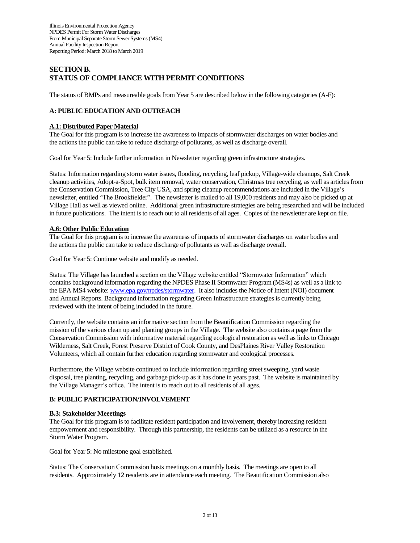# **SECTION B. STATUS OF COMPLIANCE WITH PERMIT CONDITIONS**

The status of BMPs and measureable goals from Year 5 are described below in the following categories (A-F):

### **A: PUBLIC EDUCATION AND OUTREACH**

# **A.1: Distributed Paper Material**

The Goal for this program is to increase the awareness to impacts of stormwater discharges on water bodies and the actions the public can take to reduce discharge of pollutants, as well as discharge overall.

Goal for Year 5: Include further information in Newsletter regarding green infrastructure strategies.

Status: Information regarding storm water issues, flooding, recycling, leaf pickup, Village-wide cleanups, Salt Creek cleanup activities, Adopt-a-Spot, bulk item removal, water conservation, Christmas tree recycling, as well as articles from the Conservation Commission, Tree City USA, and spring cleanup recommendations are included in the Village's newsletter, entitled "The Brookfielder". The newsletter is mailed to all 19,000 residents and may also be picked up at Village Hall as well as viewed online. Additional green infrastructure strategies are being researched and will be included in future publications. The intent is to reach out to all residents of all ages. Copies of the newsletter are kept on file.

### **A.6: Other Public Education**

The Goal for this program is to increase the awareness of impacts of stormwater discharges on water bodies and the actions the public can take to reduce discharge of pollutants as well as discharge overall.

Goal for Year 5: Continue website and modify as needed.

Status: The Village has launched a section on the Village website entitled "Stormwater Information" which contains background information regarding the NPDES Phase II Stormwater Program (MS4s) as well as a link to the EPA MS4 website[: www.epa.gov/npdes/stormwater.](http://www.epa.gov/npdes/stormwater) It also includes the Notice of Intent (NOI) document and Annual Reports. Background information regarding Green Infrastructure strategies is currently being reviewed with the intent of being included in the future.

Currently, the website contains an informative section from the Beautification Commission regarding the mission of the various clean up and planting groups in the Village. The website also contains a page from the Conservation Commission with informative material regarding ecological restoration as well as links to Chicago Wilderness, Salt Creek, Forest Preserve District of Cook County, and DesPlaines River Valley Restoration Volunteers, which all contain further education regarding stormwater and ecological processes.

Furthermore, the Village website continued to include information regarding street sweeping, yard waste disposal, tree planting, recycling, and garbage pick-up as it has done in years past. The website is maintained by the Village Manager's office. The intent is to reach out to all residents of all ages.

### **B: PUBLIC PARTICIPATION/INVOLVEMENT**

#### **B.3: Stakeholder Meeetings**

The Goal for this program is to facilitate resident participation and involvement, thereby increasing resident empowerment and responsibility. Through this partnership, the residents can be utilized as a resource in the Storm Water Program.

Goal for Year 5: No milestone goal established.

Status: The Conservation Commission hosts meetings on a monthly basis. The meetings are open to all residents. Approximately 12 residents are in attendance each meeting. The Beautification Commission also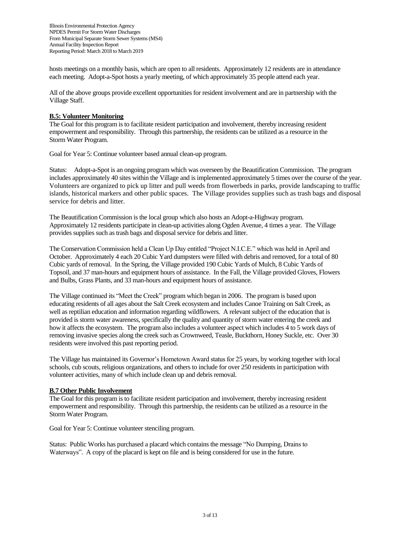hosts meetings on a monthly basis, which are open to all residents. Approximately 12 residents are in attendance each meeting. Adopt-a-Spot hosts a yearly meeting, of which approximately 35 people attend each year.

All of the above groups provide excellent opportunities for resident involvement and are in partnership with the Village Staff.

### **B.5: Volunteer Monitoring**

The Goal for this program is to facilitate resident participation and involvement, thereby increasing resident empowerment and responsibility. Through this partnership, the residents can be utilized as a resource in the Storm Water Program.

Goal for Year 5: Continue volunteer based annual clean-up program.

Status: Adopt-a-Spot is an ongoing program which was overseen by the Beautification Commission. The program includes approximately 40 sites within the Village and is implemented approximately 5 times over the course of the year. Volunteers are organized to pick up litter and pull weeds from flowerbeds in parks, provide landscaping to traffic islands, historical markers and other public spaces. The Village provides supplies such as trash bags and disposal service for debris and litter.

The Beautification Commission is the local group which also hosts an Adopt-a-Highway program. Approximately 12 residents participate in clean-up activities along Ogden Avenue, 4 times a year. The Village provides supplies such as trash bags and disposal service for debris and litter.

The Conservation Commission held a Clean Up Day entitled "Project N.I.C.E." which was held in April and October. Approximately 4 each 20 Cubic Yard dumpsters were filled with debris and removed, for a total of 80 Cubic yards of removal. In the Spring, the Village provided 190 Cubic Yards of Mulch, 8 Cubic Yards of Topsoil, and 37 man-hours and equipment hours of assistance. In the Fall, the Village provided Gloves, Flowers and Bulbs, Grass Plants, and 33 man-hours and equipment hours of assistance.

The Village continued its "Meet the Creek" program which began in 2006. The program is based upon educating residents of all ages about the Salt Creek ecosystem and includes Canoe Training on Salt Creek, as well as reptilian education and information regarding wildflowers. A relevant subject of the education that is provided is storm water awareness, specifically the quality and quantity of storm water entering the creek and how it affects the ecosystem. The program also includes a volunteer aspect which includes 4 to 5 work days of removing invasive species along the creek such as Crownweed, Teasle, Buckthorn, Honey Suckle, etc. Over 30 residents were involved this past reporting period.

The Village has maintained its Governor's Hometown Award status for 25 years, by working together with local schools, cub scouts, religious organizations, and others to include for over 250 residents in participation with volunteer activities, many of which include clean up and debris removal.

### **B.7 Other Public Involvement**

The Goal for this program is to facilitate resident participation and involvement, thereby increasing resident empowerment and responsibility. Through this partnership, the residents can be utilized as a resource in the Storm Water Program.

Goal for Year 5: Continue volunteer stenciling program.

Status: Public Works has purchased a placard which contains the message "No Dumping, Drains to Waterways". A copy of the placard is kept on file and is being considered for use in the future.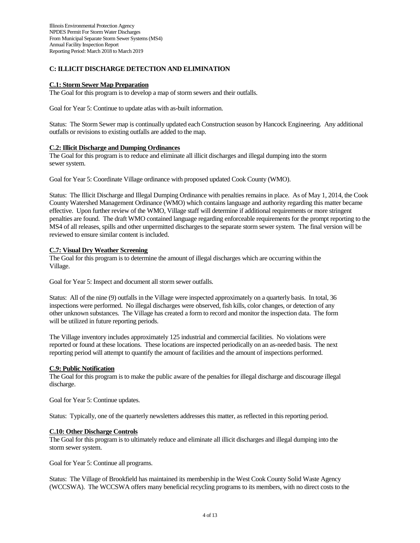### **C: ILLICIT DISCHARGE DETECTION AND ELIMINATION**

#### **C.1: Storm Sewer Map Preparation**

The Goal for this program is to develop a map of storm sewers and their outfalls.

Goal for Year 5: Continue to update atlas with as-built information.

Status: The Storm Sewer map is continually updated each Construction season by Hancock Engineering. Any additional outfalls or revisions to existing outfalls are added to the map.

#### **C.2: Illicit Discharge and Dumping Ordinances**

The Goal for this program is to reduce and eliminate all illicit discharges and illegal dumping into the storm sewer system.

Goal for Year 5: Coordinate Village ordinance with proposed updated Cook County (WMO).

Status: The Illicit Discharge and Illegal Dumping Ordinance with penalties remains in place. As of May 1, 2014, the Cook County Watershed Management Ordinance (WMO) which contains language and authority regarding this matter became effective. Upon further review of the WMO, Village staff will determine if additional requirements or more stringent penalties are found. The draft WMO contained language regarding enforceable requirements for the prompt reporting to the MS4 of all releases, spills and other unpermitted discharges to the separate storm sewer system. The final version will be reviewed to ensure similar content is included.

#### **C.7: Visual Dry Weather Screening**

The Goal for this program is to determine the amount of illegal discharges which are occurring within the Village.

Goal for Year 5: Inspect and document all storm sewer outfalls.

Status: All of the nine (9) outfalls in the Village were inspected approximately on a quarterly basis. In total, 36 inspections were performed. No illegal discharges were observed, fish kills, color changes, or detection of any other unknown substances. The Village has created a form to record and monitor the inspection data. The form will be utilized in future reporting periods.

The Village inventory includes approximately 125 industrial and commercial facilities. No violations were reported or found at these locations. These locations are inspected periodically on an as-needed basis. The next reporting period will attempt to quantify the amount of facilities and the amount of inspections performed.

#### **C.9: Public Notification**

The Goal for this program is to make the public aware of the penalties for illegal discharge and discourage illegal discharge.

Goal for Year 5: Continue updates.

Status: Typically, one of the quarterly newsletters addresses this matter, as reflected in this reporting period.

#### **C.10: Other Discharge Controls**

The Goal for this program is to ultimately reduce and eliminate all illicit discharges and illegal dumping into the storm sewer system.

Goal for Year 5: Continue all programs.

Status: The Village of Brookfield has maintained its membership in the West Cook County Solid Waste Agency (WCCSWA). The WCCSWA offers many beneficial recycling programs to its members, with no direct costs to the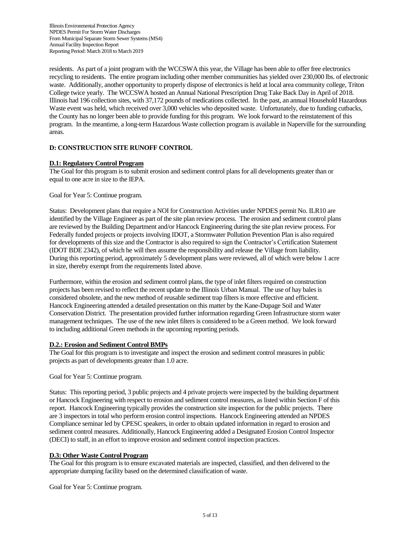residents. As part of a joint program with the WCCSWA this year, the Village has been able to offer free electronics recycling to residents. The entire program including other member communities has yielded over 230,000 lbs. of electronic waste. Additionally, another opportunity to properly dispose of electronics is held at local area community college, Triton College twice yearly. The WCCSWA hosted an Annual National Prescription Drug Take Back Day in April of 2018. Illinois had 196 collection sites, with 37,172 pounds of medications collected. In the past, an annual Household Hazardous Waste event was held, which received over 3,000 vehicles who deposited waste. Unfortunately, due to funding cutbacks, the County has no longer been able to provide funding for this program. We look forward to the reinstatement of this program. In the meantime, a long-term Hazardous Waste collection program is available in Naperville for the surrounding areas.

### **D: CONSTRUCTION SITE RUNOFF CONTROL**

### **D.1: Regulatory Control Program**

The Goal for this program is to submit erosion and sediment control plans for all developments greater than or equal to one acre in size to the IEPA.

#### Goal for Year 5: Continue program.

Status: Development plans that require a NOI for Construction Activities under NPDES permit No. ILR10 are identified by the Village Engineer as part of the site plan review process. The erosion and sediment control plans are reviewed by the Building Department and/or Hancock Engineering during the site plan review process. For Federally funded projects or projects involving IDOT, a Stormwater Pollution Prevention Plan is also required for developments of this size and the Contractor is also required to sign the Contractor's Certification Statement (IDOT BDE 2342), of which he will then assume the responsibility and release the Village from liability. During this reporting period, approximately 5 development plans were reviewed, all of which were below 1 acre in size, thereby exempt from the requirements listed above.

Furthermore, within the erosion and sediment control plans, the type of inlet filters required on construction projects has been revised to reflect the recent update to the Illinois Urban Manual. The use of hay bales is considered obsolete, and the new method of reusable sediment trap filters is more effective and efficient. Hancock Engineering attended a detailed presentation on this matter by the Kane-Dupage Soil and Water Conservation District. The presentation provided further information regarding Green Infrastructure storm water management techniques. The use of the new inlet filters is considered to be a Green method. We look forward to including additional Green methods in the upcoming reporting periods.

#### **D.2.: Erosion and Sediment Control BMPs**

The Goal for this program is to investigate and inspect the erosion and sediment control measures in public projects as part of developments greater than 1.0 acre.

#### Goal for Year 5: Continue program.

Status: This reporting period, 3 public projects and 4 private projects were inspected by the building department or Hancock Engineering with respect to erosion and sediment control measures, as listed within Section F of this report. Hancock Engineering typically provides the construction site inspection for the public projects. There are 3 inspectors in total who perform erosion control inspections. Hancock Engineering attended an NPDES Compliance seminar led by CPESC speakers, in order to obtain updated information in regard to erosion and sediment control measures. Additionally, Hancock Engineering added a Designated Erosion Control Inspector (DECI) to staff, in an effort to improve erosion and sediment control inspection practices.

#### **D.3: Other Waste Control Program**

The Goal for this program is to ensure excavated materials are inspected, classified, and then delivered to the appropriate dumping facility based on the determined classification of waste.

Goal for Year 5: Continue program.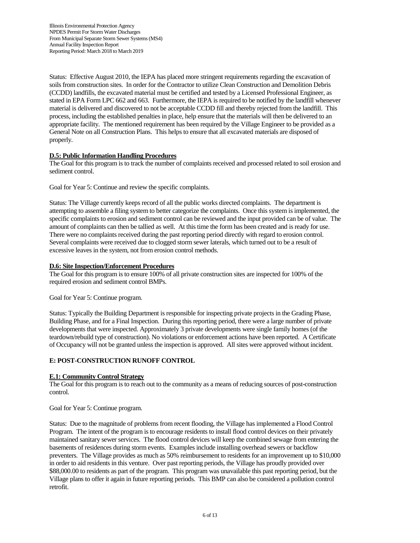Status: Effective August 2010, the IEPA has placed more stringent requirements regarding the excavation of soils from construction sites. In order for the Contractor to utilize Clean Construction and Demolition Debris (CCDD) landfills, the excavated material must be certified and tested by a Licensed Professional Engineer, as stated in EPA Form LPC 662 and 663. Furthermore, the IEPA is required to be notified by the landfill whenever material is delivered and discovered to not be acceptable CCDD fill and thereby rejected from the landfill. This process, including the established penalties in place, help ensure that the materials will then be delivered to an appropriate facility. The mentioned requirement has been required by the Village Engineer to be provided as a General Note on all Construction Plans. This helps to ensure that all excavated materials are disposed of properly.

### **D.5: Public Information Handling Procedures**

The Goal for this program is to track the number of complaints received and processed related to soil erosion and sediment control.

Goal for Year 5: Continue and review the specific complaints.

Status: The Village currently keeps record of all the public works directed complaints. The department is attempting to assemble a filing system to better categorize the complaints. Once this system is implemented, the specific complaints to erosion and sediment control can be reviewed and the input provided can be of value. The amount of complaints can then be tallied as well. At this time the form has been created and is ready for use. There were no complaints received during the past reporting period directly with regard to erosion control. Several complaints were received due to clogged storm sewer laterals, which turned out to be a result of excessive leaves in the system, not from erosion control methods.

### **D.6: Site Inspection/Enforcement Procedures**

The Goal for this program is to ensure 100% of all private construction sites are inspected for 100% of the required erosion and sediment control BMPs.

Goal for Year 5: Continue program.

Status: Typically the Building Department is responsible for inspecting private projects in the Grading Phase, Building Phase, and for a Final Inspection. During this reporting period, there were a large number of private developments that were inspected. Approximately 3 private developments were single family homes (of the teardown/rebuild type of construction). No violations or enforcement actions have been reported. A Certificate of Occupancy will not be granted unless the inspection is approved. All sites were approved without incident.

### **E: POST-CONSTRUCTION RUNOFF CONTROL**

### **E.1: Community Control Strategy**

The Goal for this program is to reach out to the community as a means of reducing sources of post-construction control.

Goal for Year 5: Continue program.

Status: Due to the magnitude of problems from recent flooding, the Village has implemented a Flood Control Program. The intent of the program is to encourage residents to install flood control devices on their privately maintained sanitary sewer services. The flood control devices will keep the combined sewage from entering the basements of residences during storm events. Examples include installing overhead sewers or backflow preventers. The Village provides as much as 50% reimbursement to residents for an improvement up to \$10,000 in order to aid residents in this venture. Over past reporting periods, the Village has proudly provided over \$88,000.00 to residents as part of the program. This program was unavailable this past reporting period, but the Village plans to offer it again in future reporting periods. This BMP can also be considered a pollution control retrofit.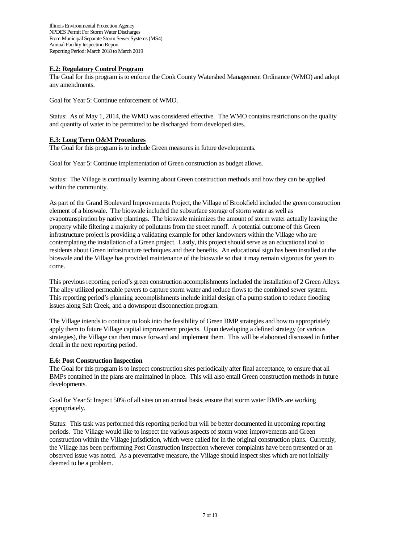#### **E.2: Regulatory Control Program**

The Goal for this program is to enforce the Cook County Watershed Management Ordinance (WMO) and adopt any amendments.

Goal for Year 5: Continue enforcement of WMO.

Status: As of May 1, 2014, the WMO was considered effective. The WMO contains restrictions on the quality and quantity of water to be permitted to be discharged from developed sites.

### **E.3: Long Term O&M Procedures**

The Goal for this program is to include Green measures in future developments.

Goal for Year 5: Continue implementation of Green construction as budget allows.

Status: The Village is continually learning about Green construction methods and how they can be applied within the community.

As part of the Grand Boulevard Improvements Project, the Village of Brookfield included the green construction element of a bioswale. The bioswale included the subsurface storage of storm water as well as evapotranspiration by native plantings. The bioswale minimizes the amount of storm water actually leaving the property while filtering a majority of pollutants from the street runoff. A potential outcome of this Green infrastructure project is providing a validating example for other landowners within the Village who are contemplating the installation of a Green project. Lastly, this project should serve as an educational tool to residents about Green infrastructure techniques and their benefits. An educational sign has been installed at the bioswale and the Village has provided maintenance of the bioswale so that it may remain vigorous for years to come.

This previous reporting period's green construction accomplishments included the installation of 2 Green Alleys. The alley utilized permeable pavers to capture storm water and reduce flows to the combined sewer system. This reporting period's planning accomplishments include initial design of a pump station to reduce flooding issues along Salt Creek, and a downspout disconnection program.

The Village intends to continue to look into the feasibility of Green BMP strategies and how to appropriately apply them to future Village capital improvement projects. Upon developing a defined strategy (or various strategies), the Village can then move forward and implement them. This will be elaborated discussed in further detail in the next reporting period.

### **E.6: Post Construction Inspection**

The Goal for this program is to inspect construction sites periodically after final acceptance, to ensure that all BMPs contained in the plans are maintained in place. This will also entail Green construction methods in future developments.

Goal for Year 5: Inspect 50% of all sites on an annual basis, ensure that storm water BMPs are working appropriately.

Status: This task was performed this reporting period but will be better documented in upcoming reporting periods. The Village would like to inspect the various aspects of storm water improvements and Green construction within the Village jurisdiction, which were called for in the original construction plans. Currently, the Village has been performing Post Construction Inspection wherever complaints have been presented or an observed issue was noted. As a preventative measure, the Village should inspect sites which are not initially deemed to be a problem.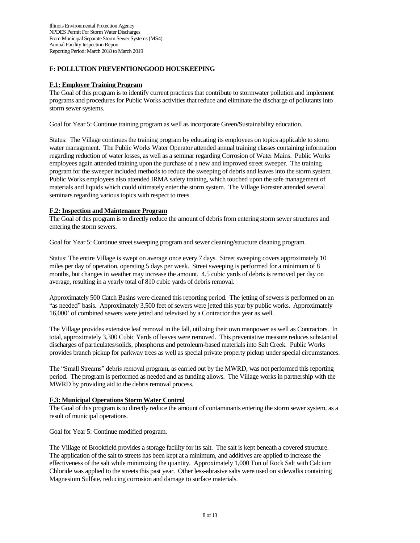### **F: POLLUTION PREVENTION/GOOD HOUSKEEPING**

### **F.1: Employee Training Program**

The Goal of this program is to identify current practices that contribute to stormwater pollution and implement programs and procedures for Public Works activities that reduce and eliminate the discharge of pollutants into storm sewer systems.

Goal for Year 5: Continue training program as well as incorporate Green/Sustainability education.

Status: The Village continues the training program by educating its employees on topics applicable to storm water management. The Public Works Water Operator attended annual training classes containing information regarding reduction of water losses, as well as a seminar regarding Corrosion of Water Mains. Public Works employees again attended training upon the purchase of a new and improved street sweeper. The training program for the sweeper included methods to reduce the sweeping of debris and leaves into the storm system. Public Works employees also attended IRMA safety training, which touched upon the safe management of materials and liquids which could ultimately enter the storm system. The Village Forester attended several seminars regarding various topics with respect to trees.

### **F.2: Inspection and Maintenance Program**

The Goal of this program is to directly reduce the amount of debris from entering storm sewer structures and entering the storm sewers.

Goal for Year 5: Continue street sweeping program and sewer cleaning/structure cleaning program.

Status: The entire Village is swept on average once every 7 days. Street sweeping covers approximately 10 miles per day of operation, operating 5 days per week. Street sweeping is performed for a minimum of 8 months, but changes in weather may increase the amount. 4.5 cubic yards of debris is removed per day on average, resulting in a yearly total of 810 cubic yards of debris removal.

Approximately 500 Catch Basins were cleaned this reporting period. The jetting of sewers is performed on an "as needed" basis. Approximately 3,500 feet of sewers were jetted this year by public works. Approximately 16,000' of combined sewers were jetted and televised by a Contractor this year as well.

The Village provides extensive leaf removal in the fall, utilizing their own manpower as well as Contractors. In total, approximately 3,300 Cubic Yards of leaves were removed. This preventative measure reduces substantial discharges of particulates/solids, phosphorus and petroleum-based materials into Salt Creek. Public Works provides branch pickup for parkway trees as well as special private property pickup under special circumstances.

The "Small Streams" debris removal program, as carried out by the MWRD, was not performed this reporting period. The program is performed as needed and as funding allows. The Village works in partnership with the MWRD by providing aid to the debris removal process.

#### **F.3: Municipal Operations Storm Water Control**

The Goal of this program is to directly reduce the amount of contaminants entering the storm sewer system, as a result of municipal operations.

Goal for Year 5: Continue modified program.

The Village of Brookfield provides a storage facility for its salt. The salt is kept beneath a covered structure. The application of the salt to streets has been kept at a minimum, and additives are applied to increase the effectiveness of the salt while minimizing the quantity. Approximately 1,000 Ton of Rock Salt with Calcium Chloride was applied to the streets this past year. Other less-abrasive salts were used on sidewalks containing Magnesium Sulfate, reducing corrosion and damage to surface materials.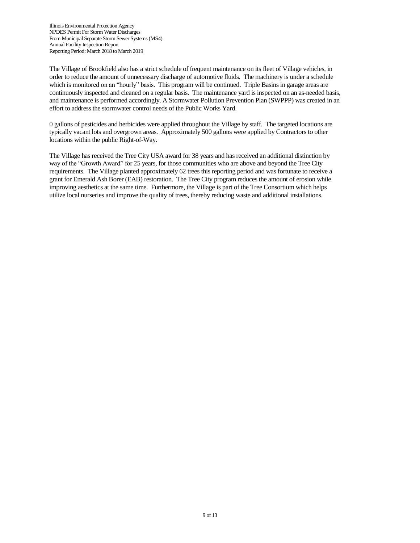The Village of Brookfield also has a strict schedule of frequent maintenance on its fleet of Village vehicles, in order to reduce the amount of unnecessary discharge of automotive fluids. The machinery is under a schedule which is monitored on an "hourly" basis. This program will be continued. Triple Basins in garage areas are continuously inspected and cleaned on a regular basis. The maintenance yard is inspected on an as-needed basis, and maintenance is performed accordingly. A Stormwater Pollution Prevention Plan (SWPPP) was created in an effort to address the stormwater control needs of the Public Works Yard.

0 gallons of pesticides and herbicides were applied throughout the Village by staff. The targeted locations are typically vacant lots and overgrown areas. Approximately 500 gallons were applied by Contractors to other locations within the public Right-of-Way.

The Village has received the Tree City USA award for 38 years and has received an additional distinction by way of the "Growth Award" for 25 years, for those communities who are above and beyond the Tree City requirements. The Village planted approximately 62 trees this reporting period and was fortunate to receive a grant for Emerald Ash Borer (EAB) restoration. The Tree City program reduces the amount of erosion while improving aesthetics at the same time. Furthermore, the Village is part of the Tree Consortium which helps utilize local nurseries and improve the quality of trees, thereby reducing waste and additional installations.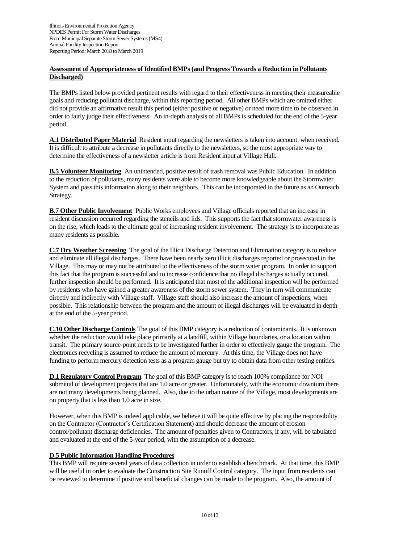### **Assessment of Appropriateness of Identified BMPs (and Progress Towards a Reduction in Pollutants Discharged)**

The BMPs listed below provided pertinent results with regard to their effectiveness in meeting their measureable goals and reducing pollutant discharge, within this reporting period. All other BMPs which are omitted either did not provide an affirmative result this period (either positive or negative) or need more time to be observed in order to fairly judge their effectiveness. An in-depth analysis of all BMPs is scheduled for the end of the 5-year period.

**A.1 Distributed Paper Material** Resident input regarding the newsletters is taken into account, when received. It is difficult to attribute a decrease in pollutants directly to the newsletters, so the most appropriate way to determine the effectiveness of a newsletter article is from Resident input at Village Hall.

**B.5 Volunteer Monitoring** An unintended, positive result of trash removal was Public Education. In addition to the reduction of pollutants, many residents were able to become more knowledgeable about the Stormwater System and pass this information along to their neighbors. This can be incorporated in the future as an Outreach Strategy.

**B.7 Other Public Involvement** Public Works employees and Village officials reported that an increase in resident discussion occurred regarding the stencils and lids. This supports the fact that stormwater awareness is on the rise, which leads to the ultimate goal of increasing resident involvement. The strategy is to incorporate as many residents as possible.

**C.7 Dry Weather Screening** The goal of the Illicit Discharge Detection and Elimination category is to reduce and eliminate all illegal discharges. There have been nearly zero illicit discharges reported or prosecuted in the Village. This may or may not be attributed to the effectiveness of the storm water program. In order to support this fact that the program is successful and to increase confidence that no illegal discharges actually occured, further inspection should be performed. It is anticipated that most of the additional inspection will be performed by residents who have gained a greater awareness of the storm sewer system. They in turn will communicate directly and indirectly with Village staff. Village staff should also increase the amount of inspections, when possible. This relationship between the program and the amount of illegal discharges will be evaluated in depth at the end of the 5-year period.

**C.10 Other Discharge Controls** The goal of this BMP category is a reduction of contaminants. It is unknown whether the reduction would take place primarily at a landfill, within Village boundaries, or a location within transit. The primary source-point needs to be investigated further in order to effectively gauge the program. The electronics recycling is assumed to reduce the amount of mercury. At this time, the Village does not have funding to perform mercury detection tests as a program gauge but try to obtain data from other testing entities.

**D.1 Regulatory Control Program** The goal of this BMP category is to reach 100% compliance for NOI submittal of development projects that are 1.0 acre or greater. Unfortunately, with the economic downturn there are not many developments being planned. Also, due to the urban nature of the Village, most developments are on property that is less than 1.0 acre in size.

However, when this BMP is indeed applicable, we believe it will be quite effective by placing the responsibility on the Contractor (Contractor's Certification Statement) and should decrease the amount of erosion control/pollutant discharge deficiencies. The amount of penalties given to Contractors, if any, will be tabulated and evaluated at the end of the 5-year period, with the assumption of a decrease.

### **D.5 Public Information Handling Procedures**

This BMP will require several years of data collection in order to establish a benchmark. At that time, this BMP will be useful in order to evaluate the Construction Site Runoff Control category. The input from residents can be reviewed to determine if positive and beneficial changes can be made to the program. Also, the amount of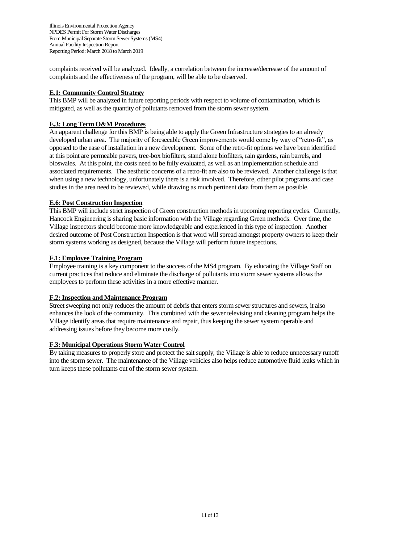complaints received will be analyzed. Ideally, a correlation between the increase/decrease of the amount of complaints and the effectiveness of the program, will be able to be observed.

### **E.1: Community Control Strategy**

This BMP will be analyzed in future reporting periods with respect to volume of contamination, which is mitigated, as well as the quantity of pollutants removed from the storm sewer system.

### **E.3: Long Term O&M Procedures**

An apparent challenge for this BMP is being able to apply the Green Infrastructure strategies to an already developed urban area. The majority of foreseeable Green improvements would come by way of "retro-fit", as opposed to the ease of installation in a new development. Some of the retro-fit options we have been identified at this point are permeable pavers, tree-box biofilters, stand alone biofilters, rain gardens, rain barrels, and bioswales. At this point, the costs need to be fully evaluated, as well as an implementation schedule and associated requirements. The aesthetic concerns of a retro-fit are also to be reviewed. Another challenge is that when using a new technology, unfortunately there is a risk involved. Therefore, other pilot programs and case studies in the area need to be reviewed, while drawing as much pertinent data from them as possible.

### **E.6: Post Construction Inspection**

This BMP will include strict inspection of Green construction methods in upcoming reporting cycles. Currently, Hancock Engineering is sharing basic information with the Village regarding Green methods. Over time, the Village inspectors should become more knowledgeable and experienced in this type of inspection. Another desired outcome of Post Construction Inspection is that word will spread amongst property owners to keep their storm systems working as designed, because the Village will perform future inspections.

### **F.1: Employee Training Program**

Employee training is a key component to the success of the MS4 program. By educating the Village Staff on current practices that reduce and eliminate the discharge of pollutants into storm sewer systems allows the employees to perform these activities in a more effective manner.

#### **F.2: Inspection and Maintenance Program**

Street sweeping not only reduces the amount of debris that enters storm sewer structures and sewers, it also enhances the look of the community. This combined with the sewer televising and cleaning program helps the Village identify areas that require maintenance and repair, thus keeping the sewer system operable and addressing issues before they become more costly.

#### **F.3: Municipal Operations Storm Water Control**

By taking measures to properly store and protect the salt supply, the Village is able to reduce unnecessary runoff into the storm sewer. The maintenance of the Village vehicles also helps reduce automotive fluid leaks which in turn keeps these pollutants out of the storm sewer system.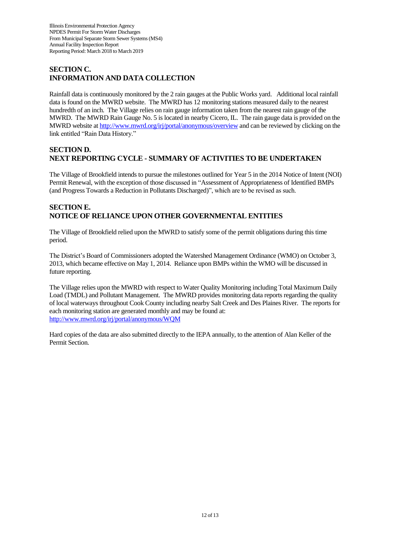# **SECTION C. INFORMATION AND DATA COLLECTION**

Rainfall data is continuously monitored by the 2 rain gauges at the Public Works yard. Additional local rainfall data is found on the MWRD website. The MWRD has 12 monitoring stations measured daily to the nearest hundredth of an inch. The Village relies on rain gauge information taken from the nearest rain gauge of the MWRD. The MWRD Rain Gauge No. 5 is located in nearby Cicero, IL. The rain gauge data is provided on the MWRD website at <http://www.mwrd.org/irj/portal/anonymous/overview> and can be reviewed by clicking on the link entitled "Rain Data History."

### **SECTION D. NEXT REPORTING CYCLE - SUMMARY OF ACTIVITIES TO BE UNDERTAKEN**

The Village of Brookfield intends to pursue the milestones outlined for Year 5 in the 2014 Notice of Intent (NOI) Permit Renewal, with the exception of those discussed in "Assessment of Appropriateness of Identified BMPs (and Progress Towards a Reduction in Pollutants Discharged)", which are to be revised as such.

# **SECTION E. NOTICE OF RELIANCE UPON OTHER GOVERNMENTAL ENTITIES**

The Village of Brookfield relied upon the MWRD to satisfy some of the permit obligations during this time period.

The District's Board of Commissioners adopted the Watershed Management Ordinance (WMO) on October 3, 2013, which became effective on May 1, 2014. Reliance upon BMPs within the WMO will be discussed in future reporting.

The Village relies upon the MWRD with respect to Water Quality Monitoring including Total Maximum Daily Load (TMDL) and Pollutant Management. The MWRD provides monitoring data reports regarding the quality of local waterways throughout Cook County including nearby Salt Creek and Des Plaines River. The reports for each monitoring station are generated monthly and may be found at: <http://www.mwrd.org/irj/portal/anonymous/WQM>

Hard copies of the data are also submitted directly to the IEPA annually, to the attention of Alan Keller of the Permit Section.